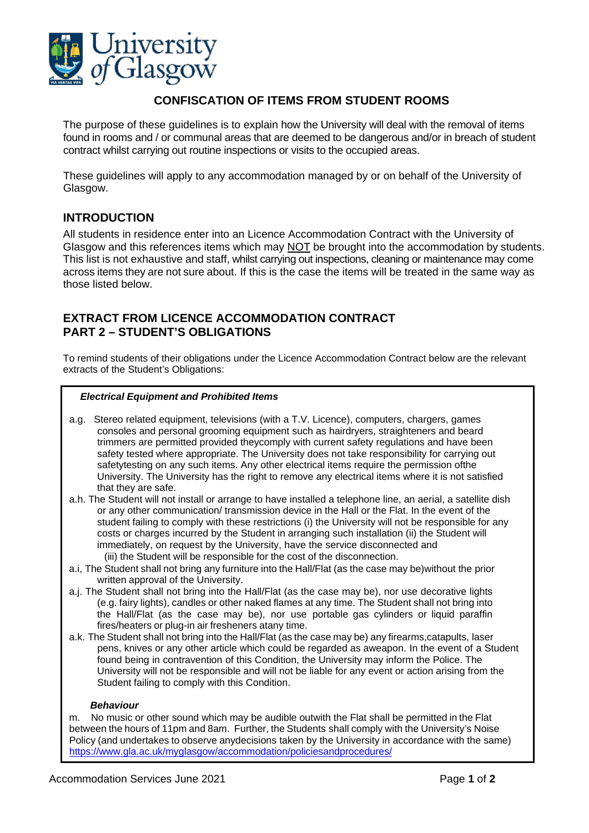

# **CONFISCATION OF ITEMS FROM STUDENT ROOMS**

The purpose of these guidelines is to explain how the University will deal with the removal of items found in rooms and / or communal areas that are deemed to be dangerous and/or in breach of student contract whilst carrying out routine inspections or visits to the occupied areas.

These guidelines will apply to any accommodation managed by or on behalf of the University of Glasgow.

## **INTRODUCTION**

All students in residence enter into an Licence Accommodation Contract with the University of Glasgow and this references items which may NOT be brought into the accommodation by students. This list is not exhaustive and staff, whilst carrying out inspections, cleaning or maintenance may come across items they are not sure about. If this is the case the items will be treated in the same way as those listed below.

### **EXTRACT FROM LICENCE ACCOMMODATION CONTRACT PART 2 – STUDENT'S OBLIGATIONS**

To remind students of their obligations under the Licence Accommodation Contract below are the relevant extracts of the Student's Obligations:

#### *Electrical Equipment and Prohibited Items*

- a.g. Stereo related equipment, televisions (with a T.V. Licence), computers, chargers, games consoles and personal grooming equipment such as hairdryers, straighteners and beard trimmers are permitted provided theycomply with current safety regulations and have been safety tested where appropriate. The University does not take responsibility for carrying out safetytesting on any such items. Any other electrical items require the permission ofthe University. The University has the right to remove any electrical items where it is not satisfied that they are safe.
- a.h. The Student will not install or arrange to have installed a telephone line, an aerial, a satellite dish or any other communication/ transmission device in the Hall or the Flat. In the event of the student failing to comply with these restrictions (i) the University will not be responsible for any costs or charges incurred by the Student in arranging such installation (ii) the Student will immediately, on request by the University, have the service disconnected and (iii) the Student will be responsible for the cost of the disconnection.
- a.i, The Student shall not bring any furniture into the Hall/Flat (as the case may be)without the prior written approval of the University.
- a.j. The Student shall not bring into the Hall/Flat (as the case may be), nor use decorative lights (e.g. fairy lights), candles or other naked flames at any time. The Student shall not bring into the Hall/Flat (as the case may be), nor use portable gas cylinders or liquid paraffin fires/heaters or plug-in air fresheners atany time.
- a.k. The Student shall not bring into the Hall/Flat (as the case may be) any firearms,catapults, laser pens, knives or any other article which could be regarded as aweapon. In the event of a Student found being in contravention of this Condition, the University may inform the Police. The University will not be responsible and will not be liable for any event or action arising from the Student failing to comply with this Condition.

#### *Behaviour*

m. No music or other sound which may be audible outwith the Flat shall be permitted in the Flat between the hours of 11pm and 8am. Further, the Students shall comply with the University's Noise Policy (and undertakes to observe anydecisions taken by the University in accordance with the same) <https://www.gla.ac.uk/myglasgow/accommodation/policiesandprocedures/>